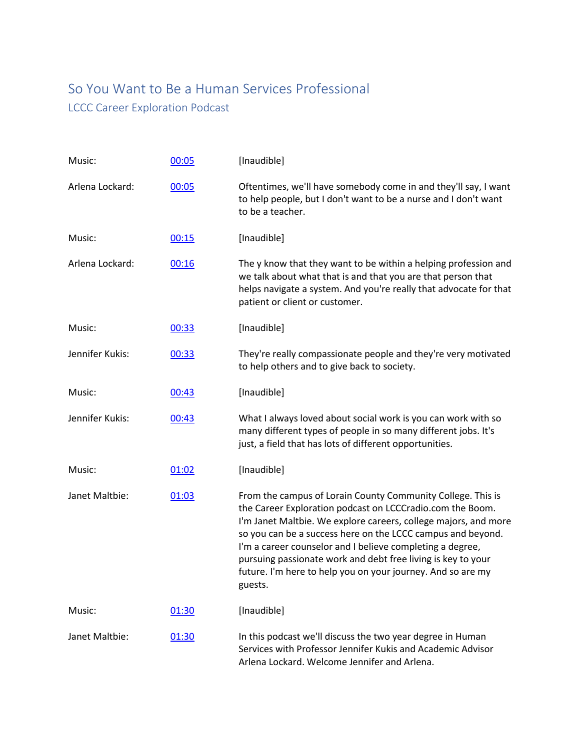## So You Want to Be a Human Services Professional LCCC Career Exploration Podcast

| Music:          | 00:05 | [Inaudible]                                                                                                                                                                                                                                                                                                                                                                                                                                                       |
|-----------------|-------|-------------------------------------------------------------------------------------------------------------------------------------------------------------------------------------------------------------------------------------------------------------------------------------------------------------------------------------------------------------------------------------------------------------------------------------------------------------------|
| Arlena Lockard: | 00:05 | Oftentimes, we'll have somebody come in and they'll say, I want<br>to help people, but I don't want to be a nurse and I don't want<br>to be a teacher.                                                                                                                                                                                                                                                                                                            |
| Music:          | 00:15 | [Inaudible]                                                                                                                                                                                                                                                                                                                                                                                                                                                       |
| Arlena Lockard: | 00:16 | The y know that they want to be within a helping profession and<br>we talk about what that is and that you are that person that<br>helps navigate a system. And you're really that advocate for that<br>patient or client or customer.                                                                                                                                                                                                                            |
| Music:          | 00:33 | [Inaudible]                                                                                                                                                                                                                                                                                                                                                                                                                                                       |
| Jennifer Kukis: | 00:33 | They're really compassionate people and they're very motivated<br>to help others and to give back to society.                                                                                                                                                                                                                                                                                                                                                     |
| Music:          | 00:43 | [Inaudible]                                                                                                                                                                                                                                                                                                                                                                                                                                                       |
| Jennifer Kukis: | 00:43 | What I always loved about social work is you can work with so<br>many different types of people in so many different jobs. It's<br>just, a field that has lots of different opportunities.                                                                                                                                                                                                                                                                        |
| Music:          | 01:02 | [Inaudible]                                                                                                                                                                                                                                                                                                                                                                                                                                                       |
| Janet Maltbie:  | 01:03 | From the campus of Lorain County Community College. This is<br>the Career Exploration podcast on LCCCradio.com the Boom.<br>I'm Janet Maltbie. We explore careers, college majors, and more<br>so you can be a success here on the LCCC campus and beyond.<br>I'm a career counselor and I believe completing a degree,<br>pursuing passionate work and debt free living is key to your<br>future. I'm here to help you on your journey. And so are my<br>guests. |
| Music:          | 01:30 | [Inaudible]                                                                                                                                                                                                                                                                                                                                                                                                                                                       |
| Janet Maltbie:  | 01:30 | In this podcast we'll discuss the two year degree in Human<br>Services with Professor Jennifer Kukis and Academic Advisor<br>Arlena Lockard. Welcome Jennifer and Arlena.                                                                                                                                                                                                                                                                                         |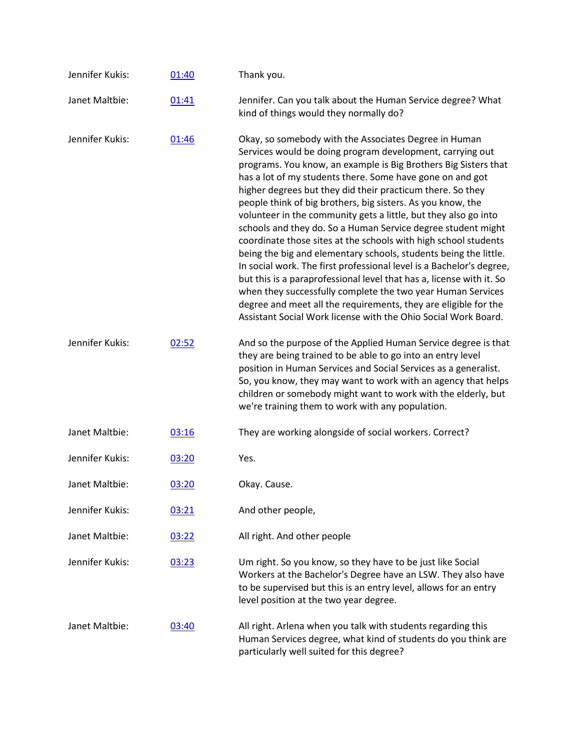| Jennifer Kukis: | 01:40 | Thank you.                                                                                                                                                                                                                                                                                                                                                                                                                                                                                                                                                                                                                                                                                                                                                                                                                                                                                                                                                                                                    |
|-----------------|-------|---------------------------------------------------------------------------------------------------------------------------------------------------------------------------------------------------------------------------------------------------------------------------------------------------------------------------------------------------------------------------------------------------------------------------------------------------------------------------------------------------------------------------------------------------------------------------------------------------------------------------------------------------------------------------------------------------------------------------------------------------------------------------------------------------------------------------------------------------------------------------------------------------------------------------------------------------------------------------------------------------------------|
| Janet Maltbie:  | 01:41 | Jennifer. Can you talk about the Human Service degree? What<br>kind of things would they normally do?                                                                                                                                                                                                                                                                                                                                                                                                                                                                                                                                                                                                                                                                                                                                                                                                                                                                                                         |
| Jennifer Kukis: | 01:46 | Okay, so somebody with the Associates Degree in Human<br>Services would be doing program development, carrying out<br>programs. You know, an example is Big Brothers Big Sisters that<br>has a lot of my students there. Some have gone on and got<br>higher degrees but they did their practicum there. So they<br>people think of big brothers, big sisters. As you know, the<br>volunteer in the community gets a little, but they also go into<br>schools and they do. So a Human Service degree student might<br>coordinate those sites at the schools with high school students<br>being the big and elementary schools, students being the little.<br>In social work. The first professional level is a Bachelor's degree,<br>but this is a paraprofessional level that has a, license with it. So<br>when they successfully complete the two year Human Services<br>degree and meet all the requirements, they are eligible for the<br>Assistant Social Work license with the Ohio Social Work Board. |
| Jennifer Kukis: | 02:52 | And so the purpose of the Applied Human Service degree is that<br>they are being trained to be able to go into an entry level<br>position in Human Services and Social Services as a generalist.<br>So, you know, they may want to work with an agency that helps<br>children or somebody might want to work with the elderly, but<br>we're training them to work with any population.                                                                                                                                                                                                                                                                                                                                                                                                                                                                                                                                                                                                                        |
| Janet Maltbie:  | 03:16 | They are working alongside of social workers. Correct?                                                                                                                                                                                                                                                                                                                                                                                                                                                                                                                                                                                                                                                                                                                                                                                                                                                                                                                                                        |
| Jennifer Kukis: | 03:20 | Yes.                                                                                                                                                                                                                                                                                                                                                                                                                                                                                                                                                                                                                                                                                                                                                                                                                                                                                                                                                                                                          |
| Janet Maltbie:  | 03:20 | Okay. Cause.                                                                                                                                                                                                                                                                                                                                                                                                                                                                                                                                                                                                                                                                                                                                                                                                                                                                                                                                                                                                  |
| Jennifer Kukis: | 03:21 | And other people,                                                                                                                                                                                                                                                                                                                                                                                                                                                                                                                                                                                                                                                                                                                                                                                                                                                                                                                                                                                             |
| Janet Maltbie:  | 03:22 | All right. And other people                                                                                                                                                                                                                                                                                                                                                                                                                                                                                                                                                                                                                                                                                                                                                                                                                                                                                                                                                                                   |
| Jennifer Kukis: | 03:23 | Um right. So you know, so they have to be just like Social<br>Workers at the Bachelor's Degree have an LSW. They also have<br>to be supervised but this is an entry level, allows for an entry<br>level position at the two year degree.                                                                                                                                                                                                                                                                                                                                                                                                                                                                                                                                                                                                                                                                                                                                                                      |
| Janet Maltbie:  | 03:40 | All right. Arlena when you talk with students regarding this<br>Human Services degree, what kind of students do you think are<br>particularly well suited for this degree?                                                                                                                                                                                                                                                                                                                                                                                                                                                                                                                                                                                                                                                                                                                                                                                                                                    |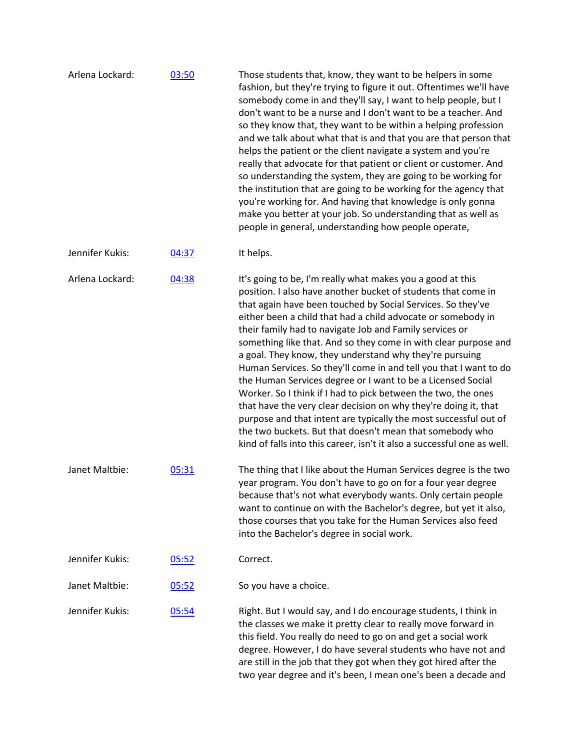| Arlena Lockard: | 03:50 | Those students that, know, they want to be helpers in some<br>fashion, but they're trying to figure it out. Oftentimes we'll have<br>somebody come in and they'll say, I want to help people, but I<br>don't want to be a nurse and I don't want to be a teacher. And<br>so they know that, they want to be within a helping profession<br>and we talk about what that is and that you are that person that<br>helps the patient or the client navigate a system and you're<br>really that advocate for that patient or client or customer. And<br>so understanding the system, they are going to be working for<br>the institution that are going to be working for the agency that<br>you're working for. And having that knowledge is only gonna<br>make you better at your job. So understanding that as well as<br>people in general, understanding how people operate,                                                           |
|-----------------|-------|----------------------------------------------------------------------------------------------------------------------------------------------------------------------------------------------------------------------------------------------------------------------------------------------------------------------------------------------------------------------------------------------------------------------------------------------------------------------------------------------------------------------------------------------------------------------------------------------------------------------------------------------------------------------------------------------------------------------------------------------------------------------------------------------------------------------------------------------------------------------------------------------------------------------------------------|
| Jennifer Kukis: | 04:37 | It helps.                                                                                                                                                                                                                                                                                                                                                                                                                                                                                                                                                                                                                                                                                                                                                                                                                                                                                                                              |
| Arlena Lockard: | 04:38 | It's going to be, I'm really what makes you a good at this<br>position. I also have another bucket of students that come in<br>that again have been touched by Social Services. So they've<br>either been a child that had a child advocate or somebody in<br>their family had to navigate Job and Family services or<br>something like that. And so they come in with clear purpose and<br>a goal. They know, they understand why they're pursuing<br>Human Services. So they'll come in and tell you that I want to do<br>the Human Services degree or I want to be a Licensed Social<br>Worker. So I think if I had to pick between the two, the ones<br>that have the very clear decision on why they're doing it, that<br>purpose and that intent are typically the most successful out of<br>the two buckets. But that doesn't mean that somebody who<br>kind of falls into this career, isn't it also a successful one as well. |
| Janet Maltbie:  | 05:31 | The thing that I like about the Human Services degree is the two<br>year program. You don't have to go on for a four year degree<br>because that's not what everybody wants. Only certain people<br>want to continue on with the Bachelor's degree, but yet it also,<br>those courses that you take for the Human Services also feed<br>into the Bachelor's degree in social work.                                                                                                                                                                                                                                                                                                                                                                                                                                                                                                                                                     |
| Jennifer Kukis: | 05:52 | Correct.                                                                                                                                                                                                                                                                                                                                                                                                                                                                                                                                                                                                                                                                                                                                                                                                                                                                                                                               |
| Janet Maltbie:  | 05:52 | So you have a choice.                                                                                                                                                                                                                                                                                                                                                                                                                                                                                                                                                                                                                                                                                                                                                                                                                                                                                                                  |
| Jennifer Kukis: | 05:54 | Right. But I would say, and I do encourage students, I think in<br>the classes we make it pretty clear to really move forward in<br>this field. You really do need to go on and get a social work<br>degree. However, I do have several students who have not and<br>are still in the job that they got when they got hired after the<br>two year degree and it's been, I mean one's been a decade and                                                                                                                                                                                                                                                                                                                                                                                                                                                                                                                                 |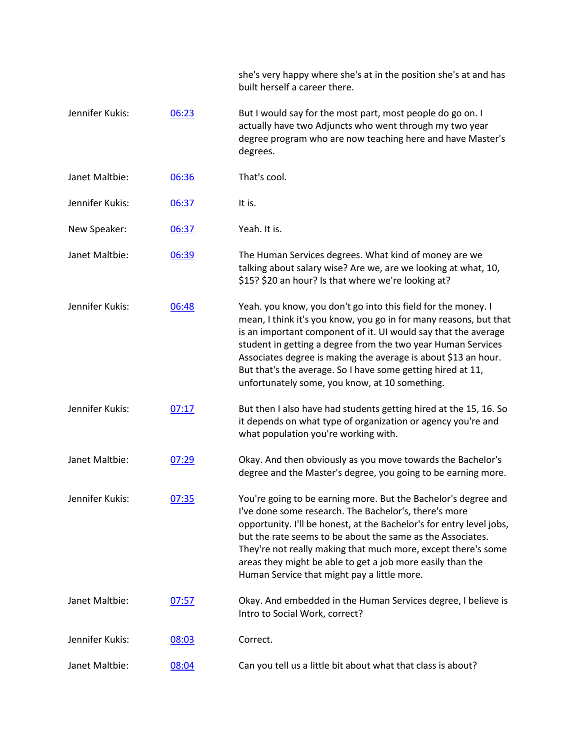|                 |       | she's very happy where she's at in the position she's at and has<br>built herself a career there.                                                                                                                                                                                                                                                                                                                                                       |
|-----------------|-------|---------------------------------------------------------------------------------------------------------------------------------------------------------------------------------------------------------------------------------------------------------------------------------------------------------------------------------------------------------------------------------------------------------------------------------------------------------|
| Jennifer Kukis: | 06:23 | But I would say for the most part, most people do go on. I<br>actually have two Adjuncts who went through my two year<br>degree program who are now teaching here and have Master's<br>degrees.                                                                                                                                                                                                                                                         |
| Janet Maltbie:  | 06:36 | That's cool.                                                                                                                                                                                                                                                                                                                                                                                                                                            |
| Jennifer Kukis: | 06:37 | It is.                                                                                                                                                                                                                                                                                                                                                                                                                                                  |
| New Speaker:    | 06:37 | Yeah. It is.                                                                                                                                                                                                                                                                                                                                                                                                                                            |
| Janet Maltbie:  | 06:39 | The Human Services degrees. What kind of money are we<br>talking about salary wise? Are we, are we looking at what, 10,<br>\$15? \$20 an hour? Is that where we're looking at?                                                                                                                                                                                                                                                                          |
| Jennifer Kukis: | 06:48 | Yeah. you know, you don't go into this field for the money. I<br>mean, I think it's you know, you go in for many reasons, but that<br>is an important component of it. UI would say that the average<br>student in getting a degree from the two year Human Services<br>Associates degree is making the average is about \$13 an hour.<br>But that's the average. So I have some getting hired at 11,<br>unfortunately some, you know, at 10 something. |
| Jennifer Kukis: | 07:17 | But then I also have had students getting hired at the 15, 16. So<br>it depends on what type of organization or agency you're and<br>what population you're working with.                                                                                                                                                                                                                                                                               |
| Janet Maltbie:  | 07:29 | Okay. And then obviously as you move towards the Bachelor's<br>degree and the Master's degree, you going to be earning more.                                                                                                                                                                                                                                                                                                                            |
| Jennifer Kukis: | 07:35 | You're going to be earning more. But the Bachelor's degree and<br>I've done some research. The Bachelor's, there's more<br>opportunity. I'll be honest, at the Bachelor's for entry level jobs,<br>but the rate seems to be about the same as the Associates.<br>They're not really making that much more, except there's some<br>areas they might be able to get a job more easily than the<br>Human Service that might pay a little more.             |
| Janet Maltbie:  | 07:57 | Okay. And embedded in the Human Services degree, I believe is<br>Intro to Social Work, correct?                                                                                                                                                                                                                                                                                                                                                         |
| Jennifer Kukis: | 08:03 | Correct.                                                                                                                                                                                                                                                                                                                                                                                                                                                |
| Janet Maltbie:  | 08:04 | Can you tell us a little bit about what that class is about?                                                                                                                                                                                                                                                                                                                                                                                            |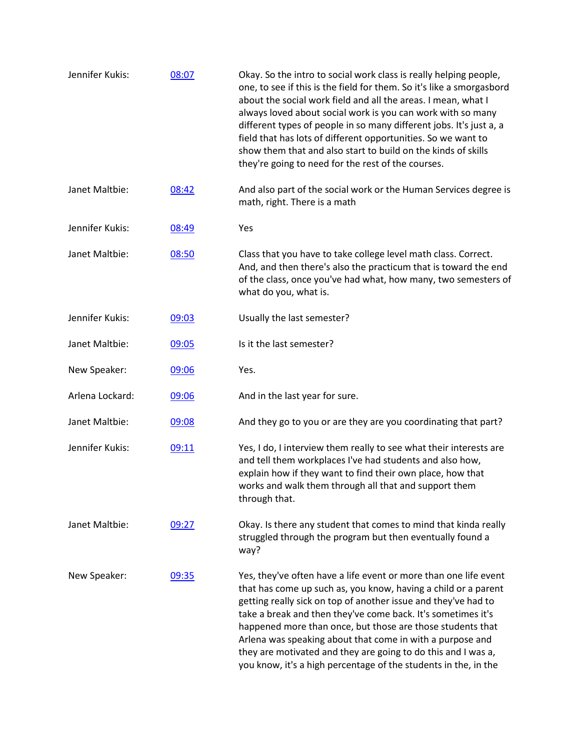| Jennifer Kukis: | 08:07 | Okay. So the intro to social work class is really helping people,<br>one, to see if this is the field for them. So it's like a smorgasbord<br>about the social work field and all the areas. I mean, what I<br>always loved about social work is you can work with so many<br>different types of people in so many different jobs. It's just a, a<br>field that has lots of different opportunities. So we want to<br>show them that and also start to build on the kinds of skills<br>they're going to need for the rest of the courses. |
|-----------------|-------|-------------------------------------------------------------------------------------------------------------------------------------------------------------------------------------------------------------------------------------------------------------------------------------------------------------------------------------------------------------------------------------------------------------------------------------------------------------------------------------------------------------------------------------------|
| Janet Maltbie:  | 08:42 | And also part of the social work or the Human Services degree is<br>math, right. There is a math                                                                                                                                                                                                                                                                                                                                                                                                                                          |
| Jennifer Kukis: | 08:49 | Yes                                                                                                                                                                                                                                                                                                                                                                                                                                                                                                                                       |
| Janet Maltbie:  | 08:50 | Class that you have to take college level math class. Correct.<br>And, and then there's also the practicum that is toward the end<br>of the class, once you've had what, how many, two semesters of<br>what do you, what is.                                                                                                                                                                                                                                                                                                              |
| Jennifer Kukis: | 09:03 | Usually the last semester?                                                                                                                                                                                                                                                                                                                                                                                                                                                                                                                |
| Janet Maltbie:  | 09:05 | Is it the last semester?                                                                                                                                                                                                                                                                                                                                                                                                                                                                                                                  |
| New Speaker:    | 09:06 | Yes.                                                                                                                                                                                                                                                                                                                                                                                                                                                                                                                                      |
| Arlena Lockard: | 09:06 | And in the last year for sure.                                                                                                                                                                                                                                                                                                                                                                                                                                                                                                            |
| Janet Maltbie:  | 09:08 | And they go to you or are they are you coordinating that part?                                                                                                                                                                                                                                                                                                                                                                                                                                                                            |
| Jennifer Kukis: | 09:11 | Yes, I do, I interview them really to see what their interests are<br>and tell them workplaces I've had students and also how,<br>explain how if they want to find their own place, how that<br>works and walk them through all that and support them<br>through that.                                                                                                                                                                                                                                                                    |
| Janet Maltbie:  | 09:27 | Okay. Is there any student that comes to mind that kinda really<br>struggled through the program but then eventually found a<br>way?                                                                                                                                                                                                                                                                                                                                                                                                      |
| New Speaker:    | 09:35 | Yes, they've often have a life event or more than one life event<br>that has come up such as, you know, having a child or a parent<br>getting really sick on top of another issue and they've had to<br>take a break and then they've come back. It's sometimes it's<br>happened more than once, but those are those students that<br>Arlena was speaking about that come in with a purpose and<br>they are motivated and they are going to do this and I was a,<br>you know, it's a high percentage of the students in the, in the       |